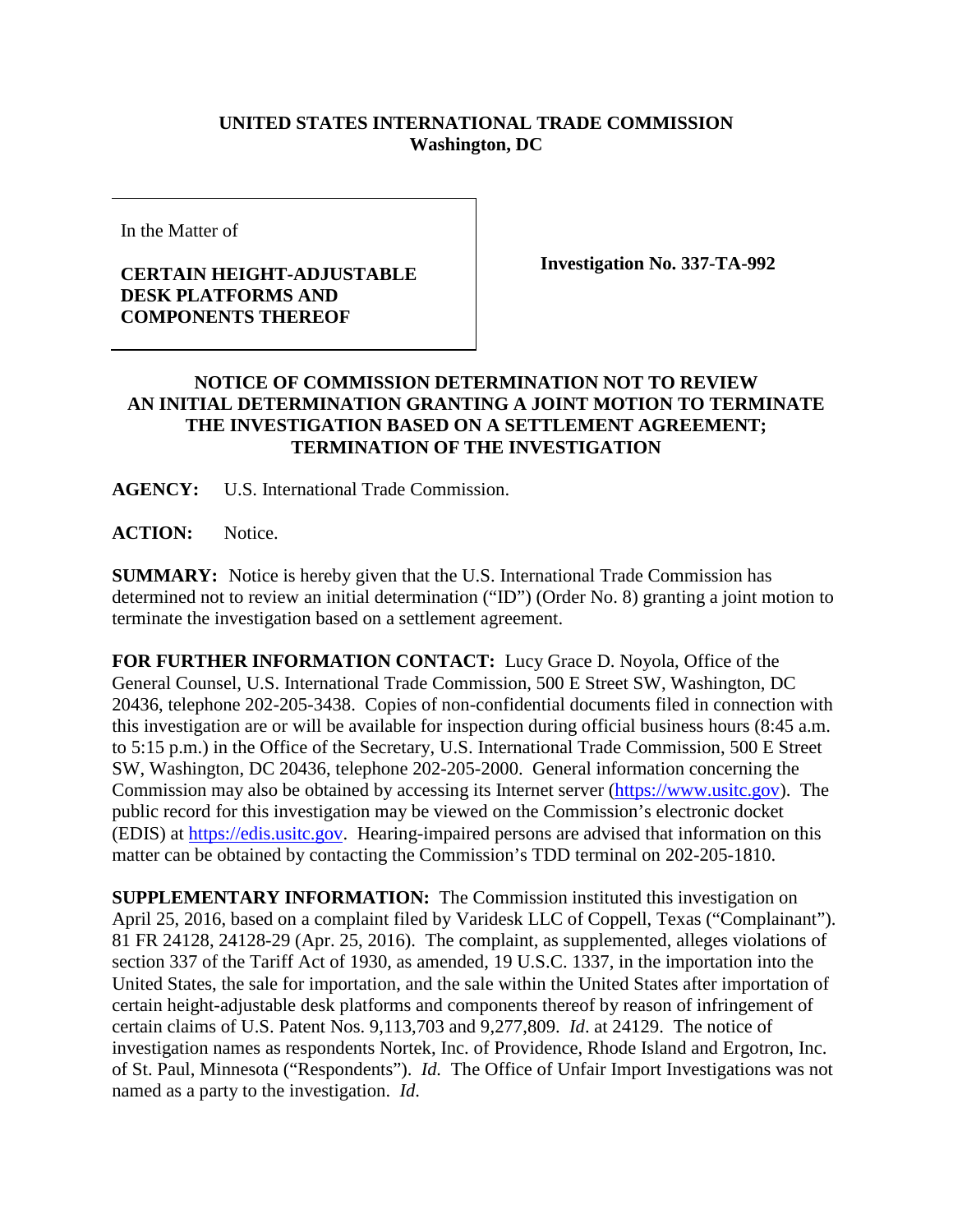## **UNITED STATES INTERNATIONAL TRADE COMMISSION Washington, DC**

In the Matter of

## **CERTAIN HEIGHT-ADJUSTABLE DESK PLATFORMS AND COMPONENTS THEREOF**

**Investigation No. 337-TA-992**

## **NOTICE OF COMMISSION DETERMINATION NOT TO REVIEW AN INITIAL DETERMINATION GRANTING A JOINT MOTION TO TERMINATE THE INVESTIGATION BASED ON A SETTLEMENT AGREEMENT; TERMINATION OF THE INVESTIGATION**

**AGENCY:** U.S. International Trade Commission.

**ACTION:** Notice.

**SUMMARY:** Notice is hereby given that the U.S. International Trade Commission has determined not to review an initial determination ("ID") (Order No. 8) granting a joint motion to terminate the investigation based on a settlement agreement.

**FOR FURTHER INFORMATION CONTACT:** Lucy Grace D. Noyola, Office of the General Counsel, U.S. International Trade Commission, 500 E Street SW, Washington, DC 20436, telephone 202-205-3438. Copies of non-confidential documents filed in connection with this investigation are or will be available for inspection during official business hours (8:45 a.m. to 5:15 p.m.) in the Office of the Secretary, U.S. International Trade Commission, 500 E Street SW, Washington, DC 20436, telephone 202-205-2000. General information concerning the Commission may also be obtained by accessing its Internet server [\(https://www.usitc.gov\)](https://www.usitc.gov/). The public record for this investigation may be viewed on the Commission's electronic docket (EDIS) at [https://edis.usitc.gov.](https://edis.usitc.gov/) Hearing-impaired persons are advised that information on this matter can be obtained by contacting the Commission's TDD terminal on 202-205-1810.

**SUPPLEMENTARY INFORMATION:** The Commission instituted this investigation on April 25, 2016, based on a complaint filed by Varidesk LLC of Coppell, Texas ("Complainant"). 81 FR 24128, 24128-29 (Apr. 25, 2016). The complaint, as supplemented, alleges violations of section 337 of the Tariff Act of 1930, as amended, 19 U.S.C. 1337, in the importation into the United States, the sale for importation, and the sale within the United States after importation of certain height-adjustable desk platforms and components thereof by reason of infringement of certain claims of U.S. Patent Nos. 9,113,703 and 9,277,809. *Id*. at 24129. The notice of investigation names as respondents Nortek, Inc. of Providence, Rhode Island and Ergotron, Inc. of St. Paul, Minnesota ("Respondents"). *Id.* The Office of Unfair Import Investigations was not named as a party to the investigation. *Id*.